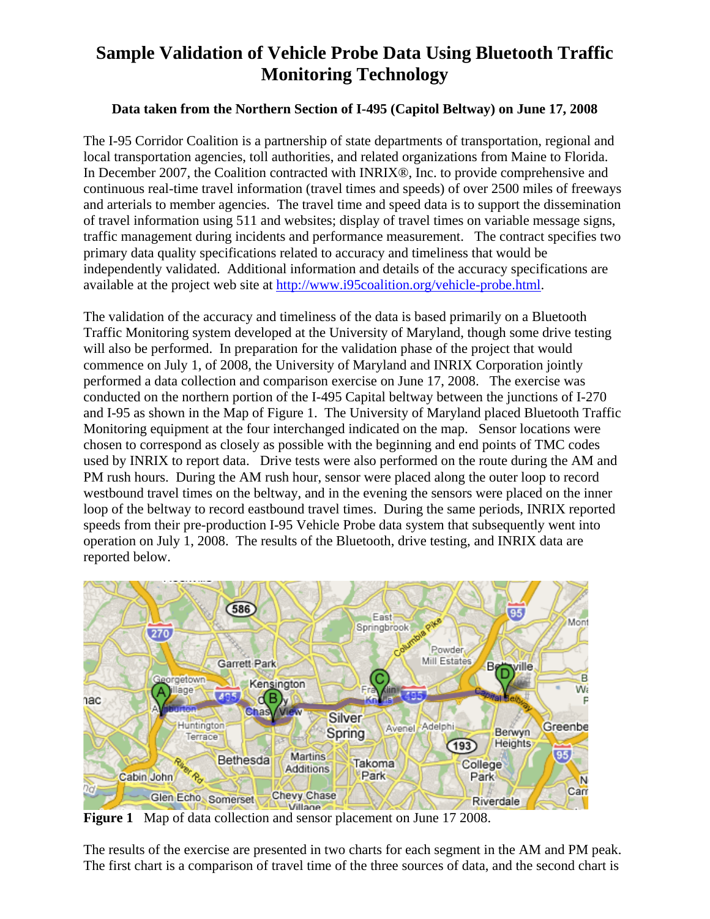## **Sample Validation of Vehicle Probe Data Using Bluetooth Traffic Monitoring Technology**

## **Data taken from the Northern Section of I-495 (Capitol Beltway) on June 17, 2008**

The I-95 Corridor Coalition is a partnership of state departments of transportation, regional and local transportation agencies, toll authorities, and related organizations from Maine to Florida. In December 2007, the Coalition contracted with INRIX®, Inc. to provide comprehensive and continuous real-time travel information (travel times and speeds) of over 2500 miles of freeways and arterials to member agencies. The travel time and speed data is to support the dissemination of travel information using 511 and websites; display of travel times on variable message signs, traffic management during incidents and performance measurement. The contract specifies two primary data quality specifications related to accuracy and timeliness that would be independently validated. Additional information and details of the accuracy specifications are available at the project web site at http://www.i95coalition.org/vehicle-probe.html.

The validation of the accuracy and timeliness of the data is based primarily on a Bluetooth Traffic Monitoring system developed at the University of Maryland, though some drive testing will also be performed. In preparation for the validation phase of the project that would commence on July 1, of 2008, the University of Maryland and INRIX Corporation jointly performed a data collection and comparison exercise on June 17, 2008. The exercise was conducted on the northern portion of the I-495 Capital beltway between the junctions of I-270 and I-95 as shown in the Map of Figure 1. The University of Maryland placed Bluetooth Traffic Monitoring equipment at the four interchanged indicated on the map. Sensor locations were chosen to correspond as closely as possible with the beginning and end points of TMC codes used by INRIX to report data. Drive tests were also performed on the route during the AM and PM rush hours. During the AM rush hour, sensor were placed along the outer loop to record westbound travel times on the beltway, and in the evening the sensors were placed on the inner loop of the beltway to record eastbound travel times. During the same periods, INRIX reported speeds from their pre-production I-95 Vehicle Probe data system that subsequently went into operation on July 1, 2008. The results of the Bluetooth, drive testing, and INRIX data are reported below.



**Figure 1** Map of data collection and sensor placement on June 17 2008.

The results of the exercise are presented in two charts for each segment in the AM and PM peak. The first chart is a comparison of travel time of the three sources of data, and the second chart is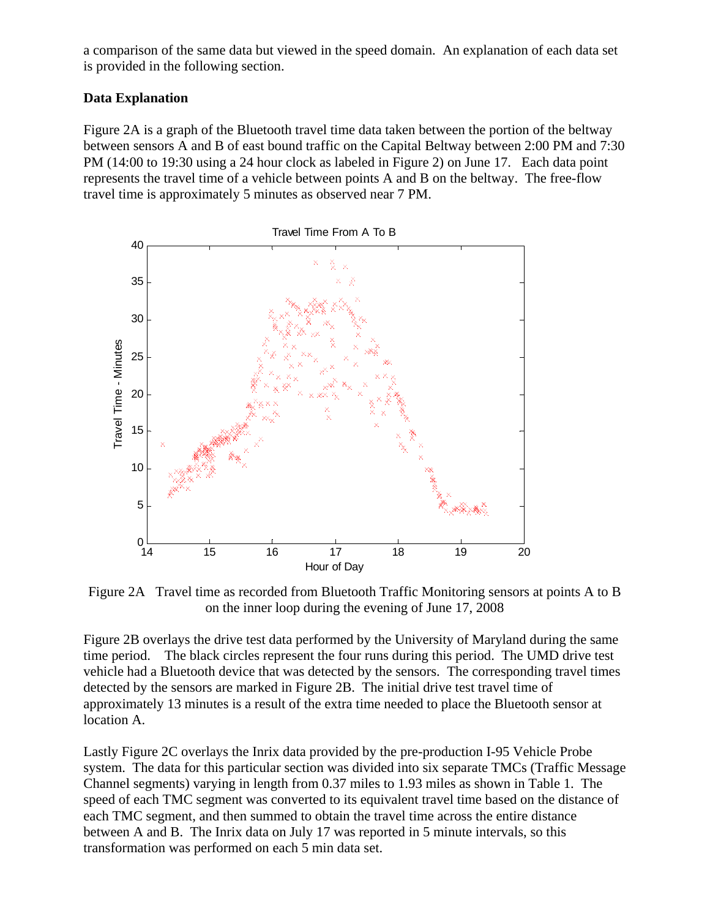a comparison of the same data but viewed in the speed domain. An explanation of each data set is provided in the following section.

## **Data Explanation**

Figure 2A is a graph of the Bluetooth travel time data taken between the portion of the beltway between sensors A and B of east bound traffic on the Capital Beltway between 2:00 PM and 7:30 PM (14:00 to 19:30 using a 24 hour clock as labeled in Figure 2) on June 17. Each data point represents the travel time of a vehicle between points A and B on the beltway. The free-flow travel time is approximately 5 minutes as observed near 7 PM.



Figure 2A Travel time as recorded from Bluetooth Traffic Monitoring sensors at points A to B on the inner loop during the evening of June 17, 2008

Figure 2B overlays the drive test data performed by the University of Maryland during the same time period. The black circles represent the four runs during this period. The UMD drive test vehicle had a Bluetooth device that was detected by the sensors. The corresponding travel times detected by the sensors are marked in Figure 2B. The initial drive test travel time of approximately 13 minutes is a result of the extra time needed to place the Bluetooth sensor at location A.

Lastly Figure 2C overlays the Inrix data provided by the pre-production I-95 Vehicle Probe system. The data for this particular section was divided into six separate TMCs (Traffic Message Channel segments) varying in length from 0.37 miles to 1.93 miles as shown in Table 1. The speed of each TMC segment was converted to its equivalent travel time based on the distance of each TMC segment, and then summed to obtain the travel time across the entire distance between A and B. The Inrix data on July 17 was reported in 5 minute intervals, so this transformation was performed on each 5 min data set.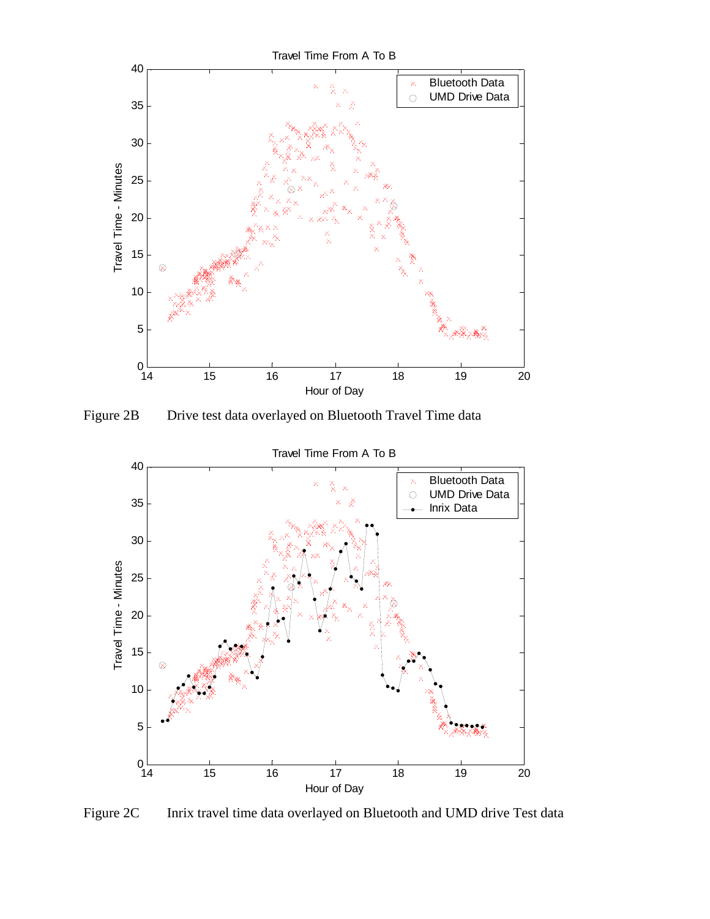

Figure 2B Drive test data overlayed on Bluetooth Travel Time data



Figure 2C Inrix travel time data overlayed on Bluetooth and UMD drive Test data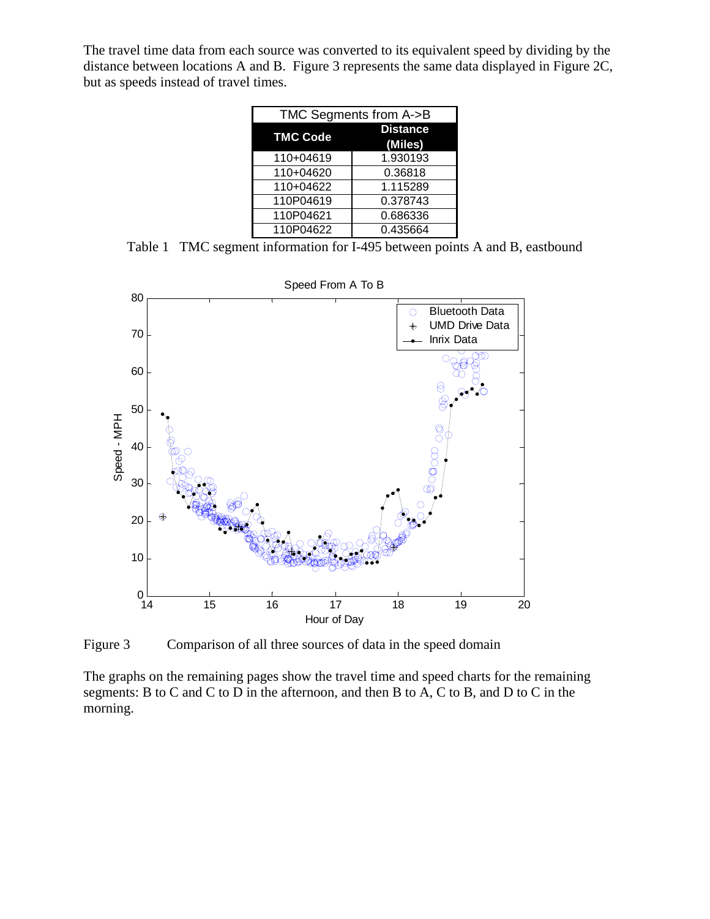The travel time data from each source was converted to its equivalent speed by dividing by the distance between locations A and B. Figure 3 represents the same data displayed in Figure 2C, but as speeds instead of travel times.

| TMC Segments from A->B |                            |
|------------------------|----------------------------|
| <b>TMC Code</b>        | <b>Distance</b><br>(Miles) |
| 110+04619              | 1.930193                   |
| 110+04620              | 0.36818                    |
| 110+04622              | 1.115289                   |
| 110P04619              | 0.378743                   |
| 110P04621              | 0.686336                   |
| 110P04622              | 0.435664                   |

Table 1 TMC segment information for I-495 between points A and B, eastbound



Figure 3 Comparison of all three sources of data in the speed domain

The graphs on the remaining pages show the travel time and speed charts for the remaining segments: B to C and C to D in the afternoon, and then B to A, C to B, and D to C in the morning.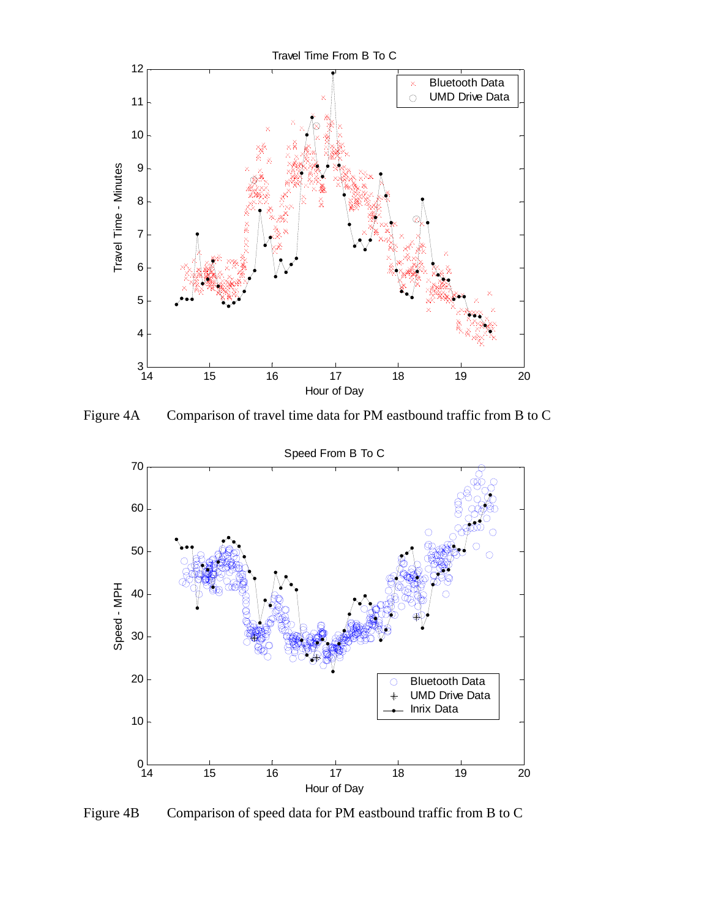

Figure 4A Comparison of travel time data for PM eastbound traffic from B to C



Figure 4B Comparison of speed data for PM eastbound traffic from B to C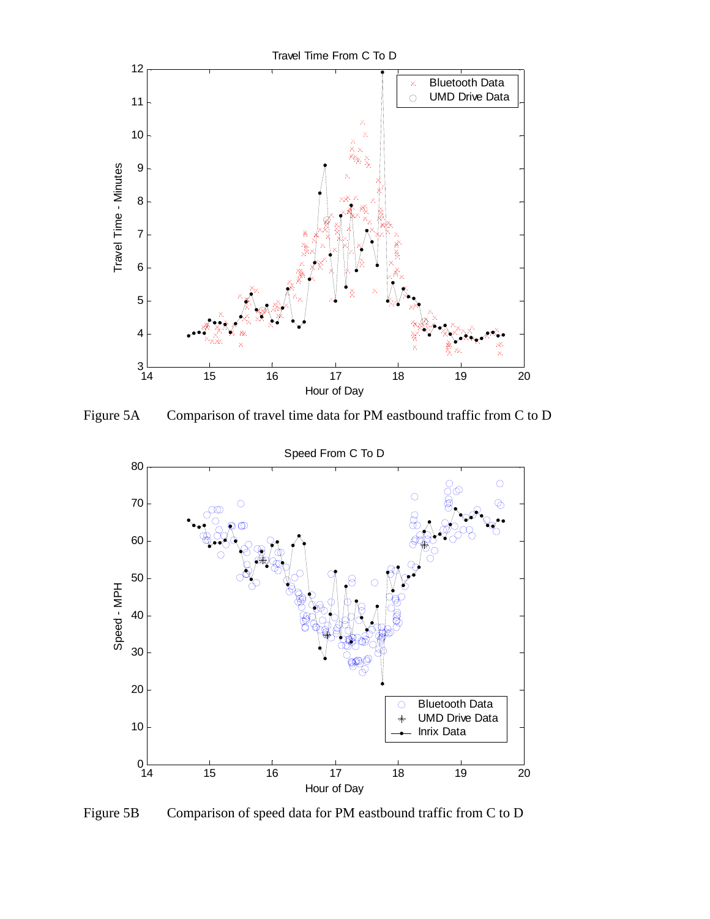

Figure 5A Comparison of travel time data for PM eastbound traffic from C to D



Figure 5B Comparison of speed data for PM eastbound traffic from C to D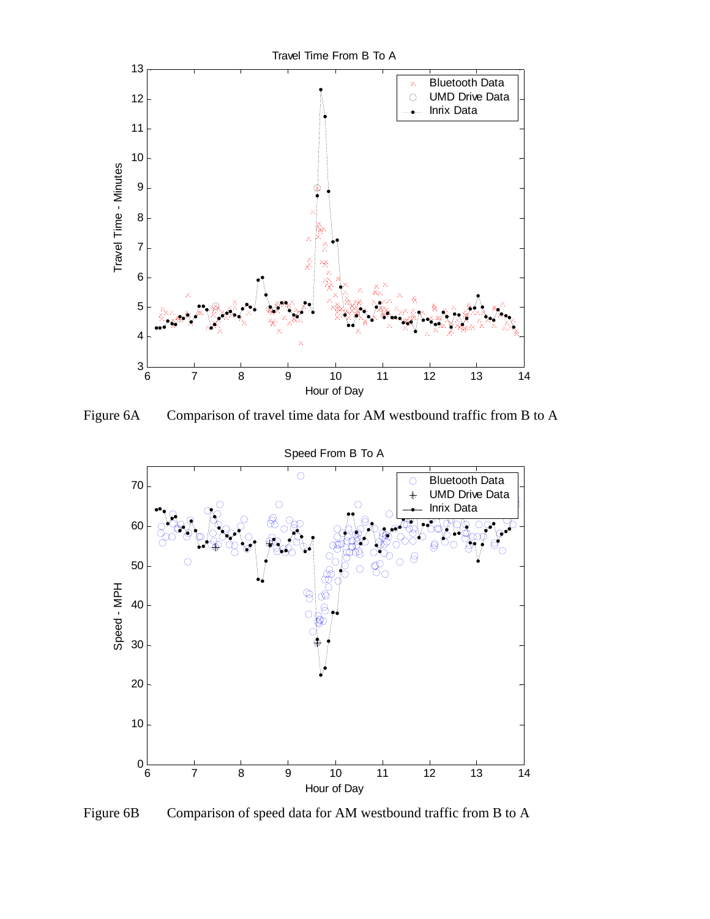

Figure 6A Comparison of travel time data for AM westbound traffic from B to A



Figure 6B Comparison of speed data for AM westbound traffic from B to A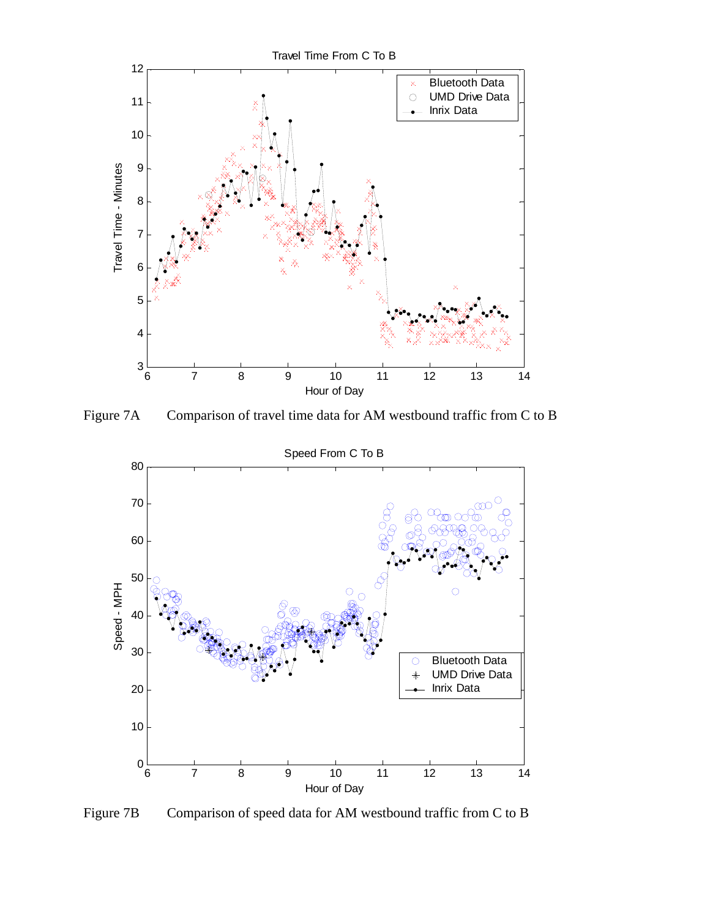

Figure 7A Comparison of travel time data for AM westbound traffic from C to B



Figure 7B Comparison of speed data for AM westbound traffic from C to B